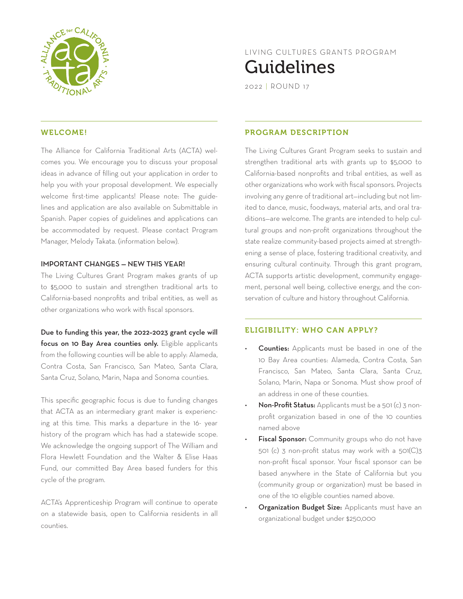

# LIVING CULTURES GRANTS PROGRAM Guidelines

2022 | ROUND 17

### WELCOME!

The Alliance for California Traditional Arts (ACTA) welcomes you. We encourage you to discuss your proposal ideas in advance of filling out your application in order to help you with your proposal development. We especially welcome first-time applicants! Please note: The guidelines and application are also available on Submittable in Spanish. Paper copies of guidelines and applications can be accommodated by request. Please contact Program Manager, Melody Takata. (information below).

#### IMPORTANT CHANGES — NEW THIS YEAR!

The Living Cultures Grant Program makes grants of up to \$5,000 to sustain and strengthen traditional arts to California-based nonprofits and tribal entities, as well as other organizations who work with fiscal sponsors.

Due to funding this year, the 2022–2023 grant cycle will focus on 10 Bay Area counties only. Eligible applicants from the following counties will be able to apply: Alameda, Contra Costa, San Francisco, San Mateo, Santa Clara, Santa Cruz, Solano, Marin, Napa and Sonoma counties.

This specific geographic focus is due to funding changes that ACTA as an intermediary grant maker is experiencing at this time. This marks a departure in the 16- year history of the program which has had a statewide scope. We acknowledge the ongoing support of The William and Flora Hewlett Foundation and the Walter & Elise Haas Fund, our committed Bay Area based funders for this cycle of the program.

ACTA's Apprenticeship Program will continue to operate on a statewide basis, open to California residents in all counties.

#### PROGRAM DESCRIPTION

The Living Cultures Grant Program seeks to sustain and strengthen traditional arts with grants up to \$5,000 to California-based nonprofits and tribal entities, as well as other organizations who work with fiscal sponsors. Projects involving any genre of traditional art—including but not limited to dance, music, foodways, material arts, and oral traditions—are welcome. The grants are intended to help cultural groups and non-profit organizations throughout the state realize community-based projects aimed at strengthening a sense of place, fostering traditional creativity, and ensuring cultural continuity. Through this grant program, ACTA supports artistic development, community engagement, personal well being, collective energy, and the conservation of culture and history throughout California.

#### ELIGIBILITY: WHO CAN APPLY?

- Counties: Applicants must be based in one of the 10 Bay Area counties: Alameda, Contra Costa, San Francisco, San Mateo, Santa Clara, Santa Cruz, Solano, Marin, Napa or Sonoma. Must show proof of an address in one of these counties.
- Non-Profit Status: Applicants must be a 501 (c) 3 nonprofit organization based in one of the 10 counties named above
- Fiscal Sponsor: Community groups who do not have 501 (c) 3 non-profit status may work with a 501(C)3 non-profit fiscal sponsor. Your fiscal sponsor can be based anywhere in the State of California but you (community group or organization) must be based in one of the 10 eligible counties named above.
- Organization Budget Size: Applicants must have an organizational budget under \$250,000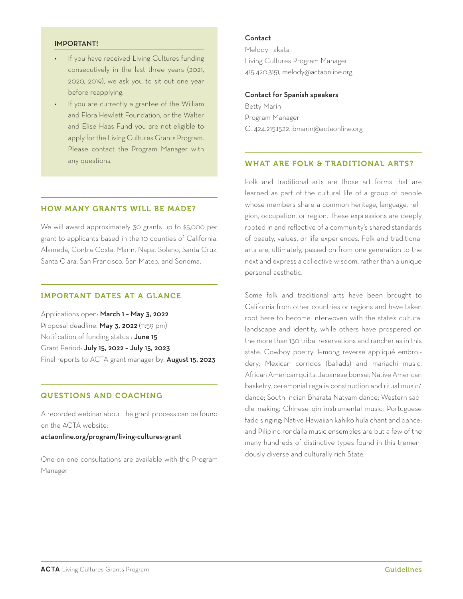#### IMPORTANT!

- If you have received Living Cultures funding consecutively in the last three years (2021, 2020, 2019), we ask you to sit out one year before reapplying.
- If you are currently a grantee of the William and Flora Hewlett Foundation, or the Walter and Elise Haas Fund you are not eligible to apply for the Living Cultures Grants Program. Please contact the Program Manager with any questions.

#### HOW MANY GRANTS WILL BE MADE?

We will award approximately 30 grants up to \$5,000 per grant to applicants based in the 10 counties of California: Alameda, Contra Costa, Marin, Napa, Solano, Santa Cruz, Santa Clara, San Francisco, San Mateo, and Sonoma.

# IMPORTANT DATES AT A GLANCE

Applications open: March 1 – May 3, 2022 Proposal deadline: May 3, 2022 (11:59 pm) Notification of funding status : June 15 Grant Period: July 15, 2022 – July 15, 2023 Final reports to ACTA grant manager by: **August 15, 2023** 

## QUESTIONS AND COACHING

A recorded webinar about the grant process can be found on the ACTA website:

#### actaonline.org/program/living-cultures-grant

One-on-one consultations are available with the Program Manager

#### Contact

Melody Takata Living Cultures Program Manager 415.420.3151, melody@actaonline.org

#### Contact for Spanish speakers

Betty Marín Program Manager C: 424.215.1522. bmarin@actaonline.org

# WHAT ARE FOLK & TRADITIONAL ARTS?

Folk and traditional arts are those art forms that are learned as part of the cultural life of a group of people whose members share a common heritage, language, religion, occupation, or region. These expressions are deeply rooted in and reflective of a community's shared standards of beauty, values, or life experiences. Folk and traditional arts are, ultimately, passed on from one generation to the next and express a collective wisdom, rather than a unique personal aesthetic.

Some folk and traditional arts have been brought to California from other countries or regions and have taken root here to become interwoven with the state's cultural landscape and identity, while others have prospered on the more than 130 tribal reservations and rancherias in this state. Cowboy poetry; Hmong reverse appliqué embroidery; Mexican corridos (ballads) and mariachi music; African American quilts; Japanese bonsai; Native American basketry, ceremonial regalia construction and ritual music/ dance; South Indian Bharata Natyam dance; Western saddle making; Chinese qin instrumental music; Portuguese fado singing; Native Hawaiian kahiko hula chant and dance; and Pilipino rondalla music ensembles are but a few of the many hundreds of distinctive types found in this tremendously diverse and culturally rich State.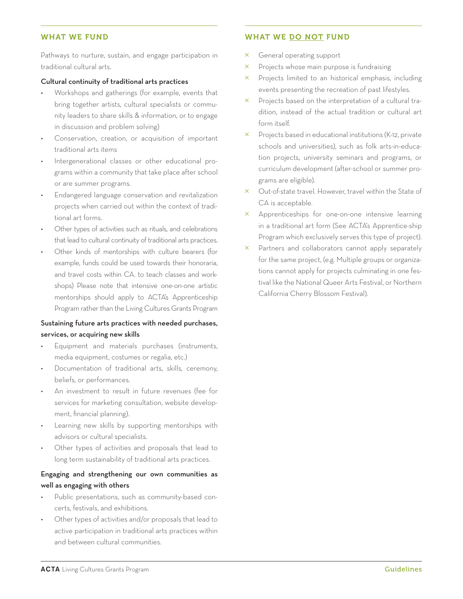# WHAT WE FUND

Pathways to nurture, sustain, and engage participation in traditional cultural arts.

#### Cultural continuity of traditional arts practices

- Workshops and gatherings (for example, events that bring together artists, cultural specialists or community leaders to share skills & information, or to engage in discussion and problem solving)
- Conservation, creation, or acquisition of important traditional arts items
- Intergenerational classes or other educational programs within a community that take place after school or are summer programs.
- Endangered language conservation and revitalization projects when carried out within the context of traditional art forms.
- Other types of activities such as rituals, and celebrations that lead to cultural continuity of traditional arts practices.
- Other kinds of mentorships with culture bearers (for example, funds could be used towards their honoraria, and travel costs within CA. to teach classes and workshops) Please note that intensive one-on-one artistic mentorships should apply to ACTA's Apprenticeship Program rather than the Living Cultures Grants Program

# Sustaining future arts practices with needed purchases, services, or acquiring new skills

- Equipment and materials purchases (instruments, media equipment, costumes or regalia, etc.)
- Documentation of traditional arts, skills, ceremony, beliefs, or performances.
- An investment to result in future revenues (fee for services for marketing consultation, website development, financial planning).
- Learning new skills by supporting mentorships with advisors or cultural specialists.
- Other types of activities and proposals that lead to long term sustainability of traditional arts practices.

# Engaging and strengthening our own communities as well as engaging with others

- Public presentations, such as community-based concerts, festivals, and exhibitions.
- Other types of activities and/or proposals that lead to active participation in traditional arts practices within and between cultural communities.

# WHAT WE DO NOT FUND

- $\times$  General operating support
- $\times$  Projects whose main purpose is fundraising
- $\times$  Projects limited to an historical emphasis, including events presenting the recreation of past lifestyles.
- $\times$  Projects based on the interpretation of a cultural tradition, instead of the actual tradition or cultural art form itself.
- $\times$  Projects based in educational institutions (K-12, private schools and universities), such as folk arts-in-education projects, university seminars and programs, or curriculum development (after-school or summer programs are eligible).
- $\times$  Out-of-state travel. However, travel within the State of CA is acceptable.
- $\times$  Apprenticeships for one-on-one intensive learning in a traditional art form (See ACTA's Apprentice-ship Program which exclusively serves this type of project).
- $\times$  Partners and collaborators cannot apply separately for the same project, (e.g. Multiple groups or organizations cannot apply for projects culminating in one festival like the National Queer Arts Festival, or Northern California Cherry Blossom Festival).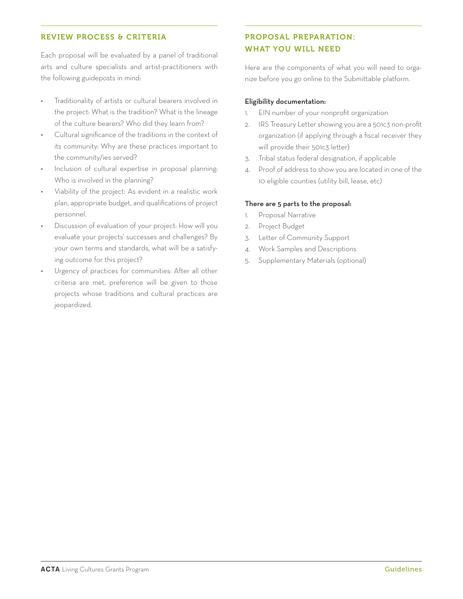# REVIEW PROCESS & CRITERIA

Each proposal will be evaluated by a panel of traditional arts and culture specialists and artist-practitioners with the following guideposts in mind:

- Traditionality of artists or cultural bearers involved in the project: What is the tradition? What is the lineage of the culture bearers? Who did they learn from?
- Cultural significance of the traditions in the context of its community: Why are these practices important to the community/ies served?
- Inclusion of cultural expertise in proposal planning: Who is involved in the planning?
- Viability of the project: As evident in a realistic work plan, appropriate budget, and qualifications of project personnel.
- Discussion of evaluation of your project: How will you evaluate your projects' successes and challenges? By your own terms and standards, what will be a satisfying outcome for this project?
- Urgency of practices for communities: After all other criteria are met, preference will be given to those projects whose traditions and cultural practices are jeopardized.

# PROPOSAL PREPARATION: WHAT YOU WILL NEED

Here are the components of what you will need to organize before you go online to the Submittable platform.

#### Eligibility documentation:

- 1. EIN number of your nonprofit organization
- 2. IRS Treasury Letter showing you are a 501c3 non-profit organization (if applying through a fiscal receiver they will provide their 501c3 letter)
- 3. Tribal status federal designation, if applicable
- 4. Proof of address to show you are located in one of the 10 eligible counties (utility bill, lease, etc)

#### There are 5 parts to the proposal:

- 1. Proposal Narrative
- 2. Project Budget
- 3. Letter of Community Support
- 4. Work Samples and Descriptions
- 5. Supplementary Materials (optional)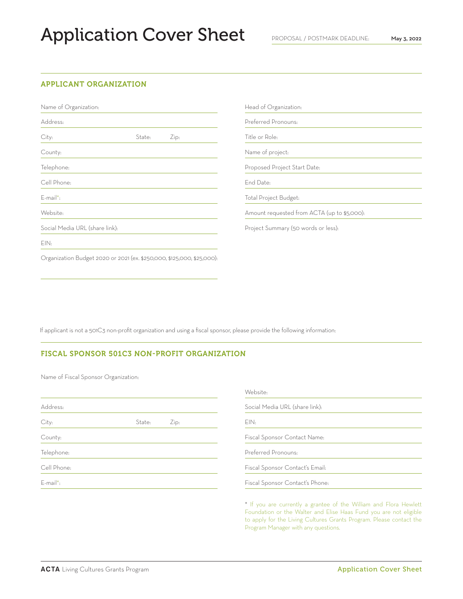# Application Cover Sheet

#### APPLICANT ORGANIZATION

Name of Organization:

| Address:                                                               |        |      |  |
|------------------------------------------------------------------------|--------|------|--|
| City:                                                                  | State: | Zip: |  |
| County:                                                                |        |      |  |
| Telephone:                                                             |        |      |  |
| Cell Phone:                                                            |        |      |  |
| $F$ -mail*:                                                            |        |      |  |
| Website:                                                               |        |      |  |
| Social Media URL (share link):                                         |        |      |  |
| EIN:                                                                   |        |      |  |
| Organization Budget 2020 or 2021 (ex. \$250,000, \$125,000, \$25,000): |        |      |  |

| Head of Organization:                       |
|---------------------------------------------|
| Preferred Pronouns:                         |
| Title or Role:                              |
| Name of project:                            |
| Proposed Project Start Date:                |
| End Date:                                   |
| Total Project Budget:                       |
| Amount requested from ACTA (up to \$5,000): |

Project Summary (50 words or less):

If applicant is not a 501C3 non-profit organization and using a fiscal sponsor, please provide the following information:

#### FISCAL SPONSOR 501C3 NON-PROFIT ORGANIZATION

Name of Fiscal Sponsor Organization:

|             |                | Website:                        |  |  |
|-------------|----------------|---------------------------------|--|--|
| Address:    |                | Social Media URL (share link):  |  |  |
| City:       | State:<br>Zip: | EIN:                            |  |  |
| County:     |                | Fiscal Sponsor Contact Name:    |  |  |
| Telephone:  |                | Preferred Pronouns:             |  |  |
| Cell Phone: |                | Fiscal Sponsor Contact's Email: |  |  |
| E-mail*:    |                | Fiscal Sponsor Contact's Phone: |  |  |
|             |                |                                 |  |  |

\* If you are currently a grantee of the William and Flora Hewlett Foundation or the Walter and Elise Haas Fund you are not eligible to apply for the Living Cultures Grants Program. Please contact the Program Manager with any questions.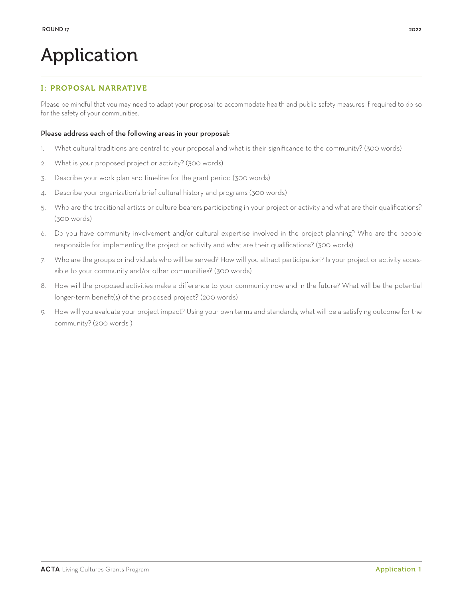# Application

# I: PROPOSAL NARRATIVE

Please be mindful that you may need to adapt your proposal to accommodate health and public safety measures if required to do so for the safety of your communities.

#### Please address each of the following areas in your proposal:

- 1. What cultural traditions are central to your proposal and what is their significance to the community? (300 words)
- 2. What is your proposed project or activity? (300 words)
- 3. Describe your work plan and timeline for the grant period (300 words)
- 4. Describe your organization's brief cultural history and programs (300 words)
- 5. Who are the traditional artists or culture bearers participating in your project or activity and what are their qualifications? (300 words)
- 6. Do you have community involvement and/or cultural expertise involved in the project planning? Who are the people responsible for implementing the project or activity and what are their qualifications? (300 words)
- 7. Who are the groups or individuals who will be served? How will you attract participation? Is your project or activity accessible to your community and/or other communities? (300 words)
- 8. How will the proposed activities make a difference to your community now and in the future? What will be the potential longer-term benefit(s) of the proposed project? (200 words)
- 9. How will you evaluate your project impact? Using your own terms and standards, what will be a satisfying outcome for the community? (200 words )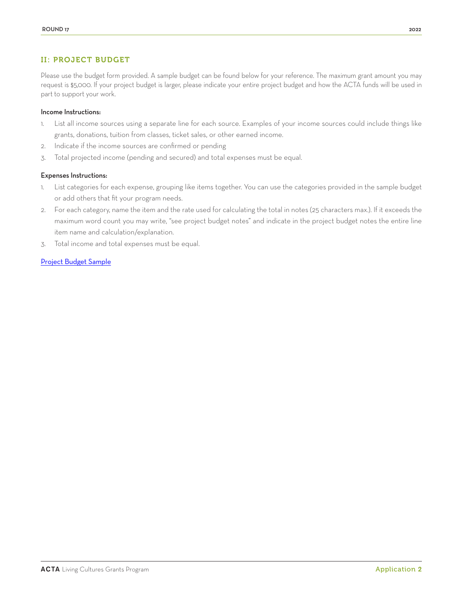# II: PROJECT BUDGET

Please use the budget form provided. A sample budget can be found below for your reference. The maximum grant amount you may request is \$5,000. If your project budget is larger, please indicate your entire project budget and how the ACTA funds will be used in part to support your work.

#### Income Instructions:

- 1. List all income sources using a separate line for each source. Examples of your income sources could include things like grants, donations, tuition from classes, ticket sales, or other earned income.
- 2. Indicate if the income sources are confirmed or pending
- 3. Total projected income (pending and secured) and total expenses must be equal.

#### Expenses Instructions:

- 1. List categories for each expense, grouping like items together. You can use the categories provided in the sample budget or add others that fit your program needs.
- 2. For each category, name the item and the rate used for calculating the total in notes (25 characters max.). If it exceeds the maximum word count you may write, "see project budget notes" and indicate in the project budget notes the entire line item name and calculation/explanation.
- 3. Total income and total expenses must be equal.

#### Project Budget Sample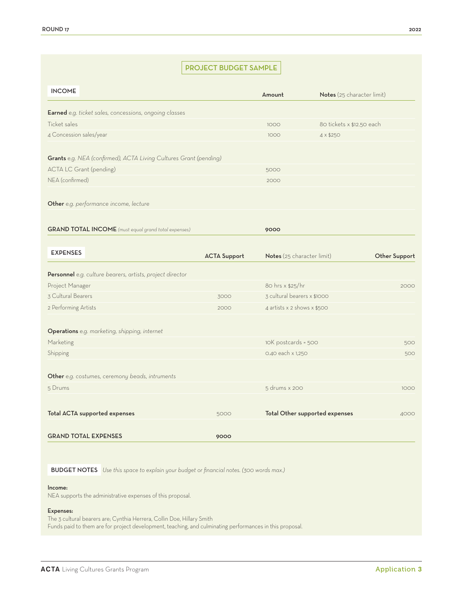# PROJECT BUDGET SAMPLE

| <b>INCOME</b>                                                     |                     | Amount                      | Notes (25 character limit)     |               |
|-------------------------------------------------------------------|---------------------|-----------------------------|--------------------------------|---------------|
| Earned e.g. ticket sales, concessions, ongoing classes            |                     |                             |                                |               |
| Ticket sales                                                      |                     | 1000                        | 80 tickets x \$12.50 each      |               |
| 4 Concession sales/year                                           |                     | 1000                        | $4 \times $250$                |               |
| Grants e.g. NEA (confirmed), ACTA Living Cultures Grant (pending) |                     |                             |                                |               |
| <b>ACTA LC Grant (pending)</b>                                    |                     | 5000                        |                                |               |
| NEA (confirmed)                                                   |                     | 2000                        |                                |               |
| Other e.g. performance income, lecture                            |                     |                             |                                |               |
| <b>GRAND TOTAL INCOME</b> (must equal grand total expenses)       |                     | 9000                        |                                |               |
| <b>EXPENSES</b>                                                   | <b>ACTA Support</b> | Notes (25 character limit)  |                                | Other Support |
| Personnel e.g. culture bearers, artists, project director         |                     |                             |                                |               |
| Project Manager                                                   |                     | 80 hrs x \$25/hr            |                                | 2000          |
| 3 Cultural Bearers                                                | 3000                | 3 cultural bearers x \$1000 |                                |               |
| 2 Performing Artists                                              | 2000                | 4 artists x 2 shows x \$500 |                                |               |
| Operations e.g. marketing, shipping, internet                     |                     |                             |                                |               |
| Marketing                                                         |                     | 10K postcards = 500         |                                | 500           |
| Shipping                                                          |                     | 0.40 each x 1,250           |                                | 500           |
| Other e.g. costumes, ceremony beads, intruments                   |                     |                             |                                |               |
| 5 Drums                                                           |                     | 5 drums x 200               |                                | 1000          |
| Total ACTA supported expenses                                     | 5000                |                             | Total Other supported expenses | 4000          |
| <b>GRAND TOTAL EXPENSES</b>                                       | 9000                |                             |                                |               |

BUDGET NOTES *Use this space to explain your budget or financial notes. (300 words max.)*

#### Income:

NEA supports the administrative expenses of this proposal.

#### Expenses:

The 3 cultural bearers are; Cynthia Herrera, Collin Doe, Hillary Smith Funds paid to them are for project development, teaching, and culminating performances in this proposal.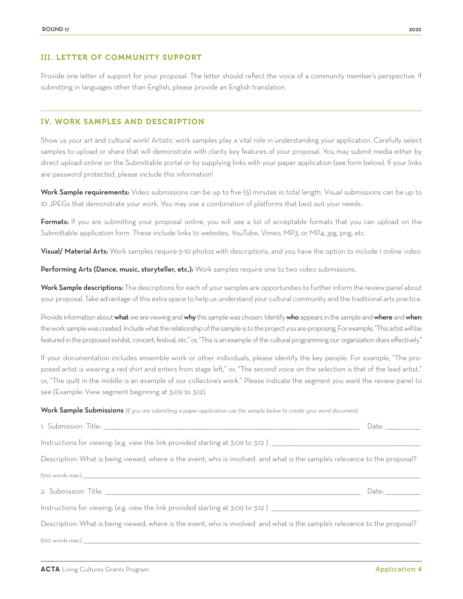Provide one letter of support for your proposal. The letter should reflect the voice of a community member's perspective. If submitting in languages other than English, please provide an English translation.

#### IV. WORK SAMPLES AND DESCRIPTION

Show us your art and cultural work! Artistic work samples play a vital role in understanding your application. Carefully select samples to upload or share that will demonstrate with clarity key features of your proposal. You may submit media either by direct upload online on the Submittable portal or by supplying links with your paper application (see form below). If your links are password protected, please include this information!

Work Sample requirements: Video submissions can be up to five (5) minutes in total length. Visual submissions can be up to 10 JPEGs that demonstrate your work. You may use a combination of platforms that best suit your needs.

Formats: If you are submitting your proposal online, you will see a list of acceptable formats that you can upload on the Submittable application form. These include links to websites, YouTube, Vimeo, MP3, or MP4, jpg, png, etc.

Visual/ Material Arts: Work samples require 5-10 photos with descriptions, and you have the option to include 1 online video.

Performing Arts (Dance, music, storyteller, etc.): Work samples require one to two video submissions.

Work Sample descriptions: The descriptions for each of your samples are opportunities to further inform the review panel about your proposal. Take advantage of this extra space to help us understand your cultural community and the traditional arts practice.

Provide information about what we are viewing and why this sample was chosen. Identify who appears in the sample and where and when the work sample was created. Include what the relationship of the sample is to the project you are proposing. For example, "This artist will be featured in the proposed exhibit, concert, festival, etc." or, "This is an example of the cultural programming our organization does effectively."

If your documentation includes ensemble work or other individuals, please identify the key people. For example, "The proposed artist is wearing a red shirt and enters from stage left," or, "The second voice on the selection is that of the lead artist," or, "The quilt in the middle is an example of our collective's work." Please indicate the segment you want the review panel to see (Example: View segment beginning at 3:09 to 3:12).

Work Sample Submissions *(If you are submitting a paper application use the sample below to create your word document*)

|                                                                                                                            | Date: and the part of the part of the part of the part of the part of the part of the part of the part of the p |  |
|----------------------------------------------------------------------------------------------------------------------------|-----------------------------------------------------------------------------------------------------------------|--|
| Instructions for viewing: (e.g. view the link provided starting at 3:09 to 3:12) _____________________________             |                                                                                                                 |  |
| Description: What is being viewed, where is the event, who is involved and what is the sample's relevance to the proposal? |                                                                                                                 |  |
|                                                                                                                            |                                                                                                                 |  |
|                                                                                                                            |                                                                                                                 |  |
| Instructions for viewing: (e.g. view the link provided starting at 3:09 to 3:12) _____________________________             |                                                                                                                 |  |
| Description: What is being viewed, where is the event, who is involved and what is the sample's relevance to the proposal? |                                                                                                                 |  |
|                                                                                                                            |                                                                                                                 |  |